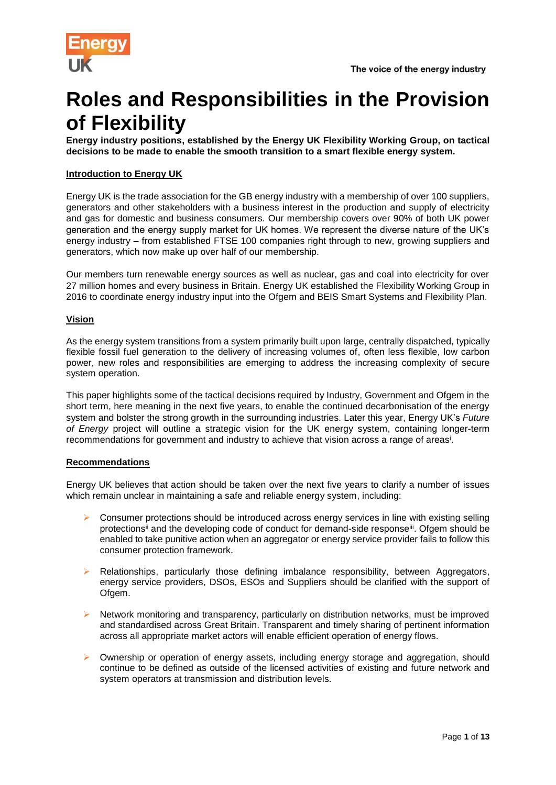

# **Roles and Responsibilities in the Provision of Flexibility**

**Energy industry positions, established by the Energy UK Flexibility Working Group, on tactical decisions to be made to enable the smooth transition to a smart flexible energy system.**

#### **Introduction to Energy UK**

Energy UK is the trade association for the GB energy industry with a membership of over 100 suppliers, generators and other stakeholders with a business interest in the production and supply of electricity and gas for domestic and business consumers. Our membership covers over 90% of both UK power generation and the energy supply market for UK homes. We represent the diverse nature of the UK's energy industry – from established FTSE 100 companies right through to new, growing suppliers and generators, which now make up over half of our membership.

Our members turn renewable energy sources as well as nuclear, gas and coal into electricity for over 27 million homes and every business in Britain. Energy UK established the Flexibility Working Group in 2016 to coordinate energy industry input into the Ofgem and BEIS Smart Systems and Flexibility Plan.

#### **Vision**

As the energy system transitions from a system primarily built upon large, centrally dispatched, typically flexible fossil fuel generation to the delivery of increasing volumes of, often less flexible, low carbon power, new roles and responsibilities are emerging to address the increasing complexity of secure system operation.

This paper highlights some of the tactical decisions required by Industry, Government and Ofgem in the short term, here meaning in the next five years, to enable the continued decarbonisation of the energy system and bolster the strong growth in the surrounding industries. Later this year, Energy UK's *Future of Energy* project will outline a strategic vision for the UK energy system, containing longer-term recommendations for government and industry to achieve that vision across a range of areas<sup>i</sup>.

#### **Recommendations**

Energy UK believes that action should be taken over the next five years to clarify a number of issues which remain unclear in maintaining a safe and reliable energy system, including:

- $\triangleright$  Consumer protections should be introduced across energy services in line with existing selling protections<sup>ii</sup> and the developing code of conduct for demand-side response<sup>iii</sup>. Ofgem should be enabled to take punitive action when an aggregator or energy service provider fails to follow this consumer protection framework.
- ➢ Relationships, particularly those defining imbalance responsibility, between Aggregators, energy service providers, DSOs, ESOs and Suppliers should be clarified with the support of Ofgem.
- ➢ Network monitoring and transparency, particularly on distribution networks, must be improved and standardised across Great Britain. Transparent and timely sharing of pertinent information across all appropriate market actors will enable efficient operation of energy flows.
- ➢ Ownership or operation of energy assets, including energy storage and aggregation, should continue to be defined as outside of the licensed activities of existing and future network and system operators at transmission and distribution levels.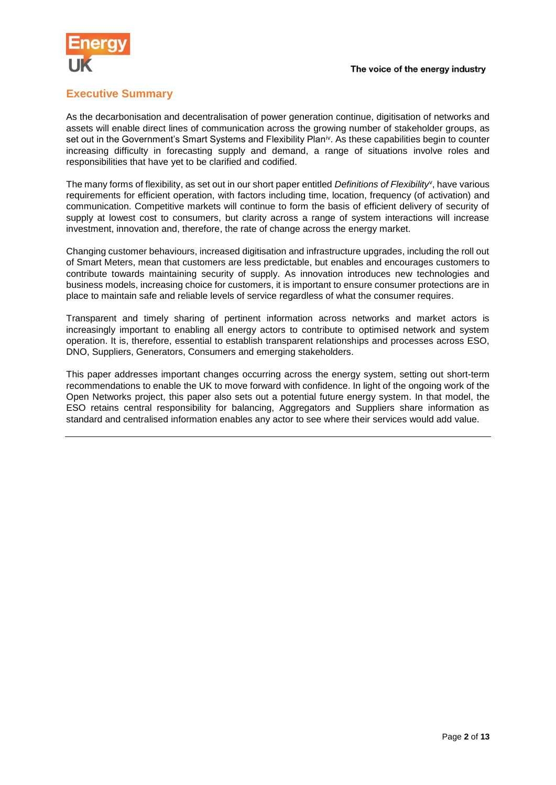

## **Executive Summary**

As the decarbonisation and decentralisation of power generation continue, digitisation of networks and assets will enable direct lines of communication across the growing number of stakeholder groups, as set out in the Government's Smart Systems and Flexibility Plan<sup>iv</sup>. As these capabilities begin to counter increasing difficulty in forecasting supply and demand, a range of situations involve roles and responsibilities that have yet to be clarified and codified.

The many forms of flexibility, as set out in our short paper entitled *Definitions of Flexibility*<sup>v</sup> , have various requirements for efficient operation, with factors including time, location, frequency (of activation) and communication. Competitive markets will continue to form the basis of efficient delivery of security of supply at lowest cost to consumers, but clarity across a range of system interactions will increase investment, innovation and, therefore, the rate of change across the energy market.

Changing customer behaviours, increased digitisation and infrastructure upgrades, including the roll out of Smart Meters, mean that customers are less predictable, but enables and encourages customers to contribute towards maintaining security of supply. As innovation introduces new technologies and business models, increasing choice for customers, it is important to ensure consumer protections are in place to maintain safe and reliable levels of service regardless of what the consumer requires.

Transparent and timely sharing of pertinent information across networks and market actors is increasingly important to enabling all energy actors to contribute to optimised network and system operation. It is, therefore, essential to establish transparent relationships and processes across ESO, DNO, Suppliers, Generators, Consumers and emerging stakeholders.

This paper addresses important changes occurring across the energy system, setting out short-term recommendations to enable the UK to move forward with confidence. In light of the ongoing work of the Open Networks project, this paper also sets out a potential future energy system. In that model, the ESO retains central responsibility for balancing, Aggregators and Suppliers share information as standard and centralised information enables any actor to see where their services would add value.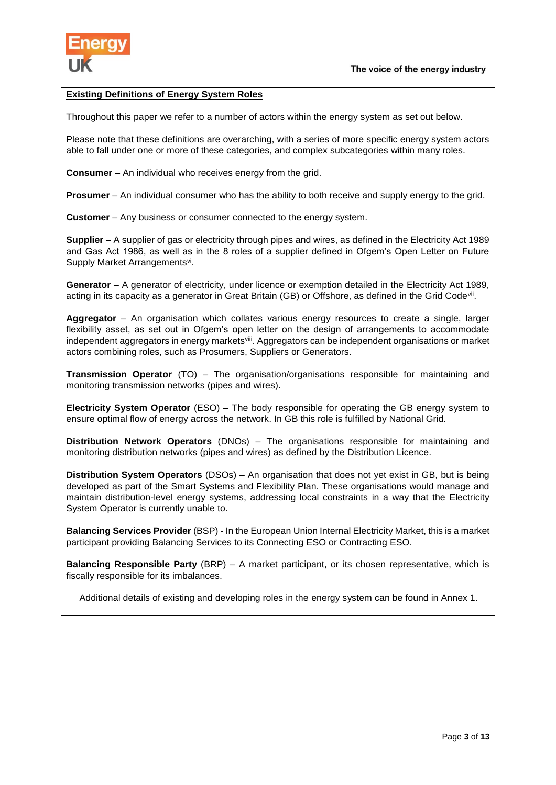

#### **Existing Definitions of Energy System Roles**

Throughout this paper we refer to a number of actors within the energy system as set out below.

Please note that these definitions are overarching, with a series of more specific energy system actors able to fall under one or more of these categories, and complex subcategories within many roles.

**Consumer** – An individual who receives energy from the grid.

**Prosumer** – An individual consumer who has the ability to both receive and supply energy to the grid.

**Customer** – Any business or consumer connected to the energy system.

**Supplier** – A supplier of gas or electricity through pipes and wires, as defined in the Electricity Act 1989 and Gas Act 1986, as well as in the 8 roles of a supplier defined in Ofgem's Open Letter on Future Supply Market Arrangementsvi.

Generator – A generator of electricity, under licence or exemption detailed in the Electricity Act 1989, acting in its capacity as a generator in Great Britain (GB) or Offshore, as defined in the Grid Code<sup>vii</sup>.

**Aggregator** – An organisation which collates various energy resources to create a single, larger flexibility asset, as set out in Ofgem's open letter on the design of arrangements to accommodate independent aggregators in energy markets<sup>viii</sup>. Aggregators can be independent organisations or market actors combining roles, such as Prosumers, Suppliers or Generators.

**Transmission Operator** (TO) – The organisation/organisations responsible for maintaining and monitoring transmission networks (pipes and wires)**.**

**Electricity System Operator** (ESO) – The body responsible for operating the GB energy system to ensure optimal flow of energy across the network. In GB this role is fulfilled by National Grid.

**Distribution Network Operators** (DNOs) – The organisations responsible for maintaining and monitoring distribution networks (pipes and wires) as defined by the Distribution Licence.

**Distribution System Operators** (DSOs) – An organisation that does not yet exist in GB, but is being developed as part of the Smart Systems and Flexibility Plan. These organisations would manage and maintain distribution-level energy systems, addressing local constraints in a way that the Electricity System Operator is currently unable to.

**Balancing Services Provider** (BSP) - In the European Union Internal Electricity Market, this is a market participant providing Balancing Services to its Connecting ESO or Contracting ESO.

**Balancing Responsible Party** (BRP) – A market participant, or its chosen representative, which is fiscally responsible for its imbalances.

Additional details of existing and developing roles in the energy system can be found in Annex 1.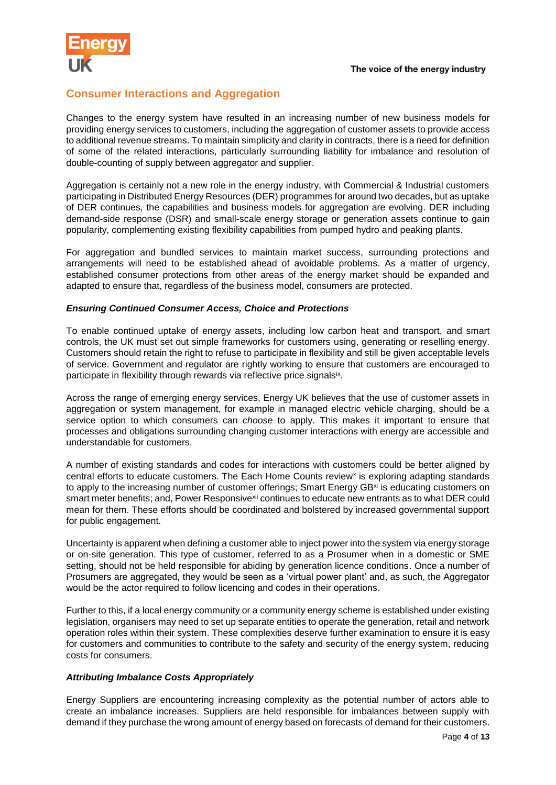

## **Consumer Interactions and Aggregation**

Changes to the energy system have resulted in an increasing number of new business models for providing energy services to customers, including the aggregation of customer assets to provide access to additional revenue streams. To maintain simplicity and clarity in contracts, there is a need for definition of some of the related interactions, particularly surrounding liability for imbalance and resolution of double-counting of supply between aggregator and supplier.

Aggregation is certainly not a new role in the energy industry, with Commercial & Industrial customers participating in Distributed Energy Resources (DER) programmes for around two decades, but as uptake of DER continues, the capabilities and business models for aggregation are evolving. DER including demand-side response (DSR) and small-scale energy storage or generation assets continue to gain popularity, complementing existing flexibility capabilities from pumped hydro and peaking plants.

For aggregation and bundled services to maintain market success, surrounding protections and arrangements will need to be established ahead of avoidable problems. As a matter of urgency, established consumer protections from other areas of the energy market should be expanded and adapted to ensure that, regardless of the business model, consumers are protected.

#### *Ensuring Continued Consumer Access, Choice and Protections*

To enable continued uptake of energy assets, including low carbon heat and transport, and smart controls, the UK must set out simple frameworks for customers using, generating or reselling energy. Customers should retain the right to refuse to participate in flexibility and still be given acceptable levels of service. Government and regulator are rightly working to ensure that customers are encouraged to participate in flexibility through rewards via reflective price signals<sup>ix</sup>.

Across the range of emerging energy services, Energy UK believes that the use of customer assets in aggregation or system management, for example in managed electric vehicle charging, should be a service option to which consumers can *choose* to apply. This makes it important to ensure that processes and obligations surrounding changing customer interactions with energy are accessible and understandable for customers.

A number of existing standards and codes for interactions with customers could be better aligned by central efforts to educate customers. The Each Home Counts review<sup>x</sup> is exploring adapting standards to apply to the increasing number of customer offerings; Smart Energy GB<sup>xi</sup> is educating customers on smart meter benefits; and, Power Responsive<sup>xii</sup> continues to educate new entrants as to what DER could mean for them. These efforts should be coordinated and bolstered by increased governmental support for public engagement.

Uncertainty is apparent when defining a customer able to inject power into the system via energy storage or on-site generation. This type of customer, referred to as a Prosumer when in a domestic or SME setting, should not be held responsible for abiding by generation licence conditions. Once a number of Prosumers are aggregated, they would be seen as a 'virtual power plant' and, as such, the Aggregator would be the actor required to follow licencing and codes in their operations.

Further to this, if a local energy community or a community energy scheme is established under existing legislation, organisers may need to set up separate entities to operate the generation, retail and network operation roles within their system. These complexities deserve further examination to ensure it is easy for customers and communities to contribute to the safety and security of the energy system, reducing costs for consumers.

#### *Attributing Imbalance Costs Appropriately*

Energy Suppliers are encountering increasing complexity as the potential number of actors able to create an imbalance increases. Suppliers are held responsible for imbalances between supply with demand if they purchase the wrong amount of energy based on forecasts of demand for their customers.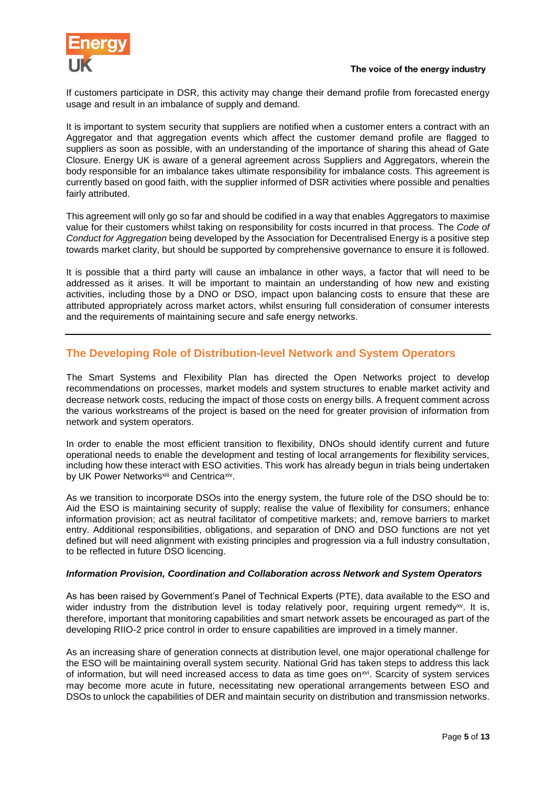

If customers participate in DSR, this activity may change their demand profile from forecasted energy usage and result in an imbalance of supply and demand.

It is important to system security that suppliers are notified when a customer enters a contract with an Aggregator and that aggregation events which affect the customer demand profile are flagged to suppliers as soon as possible, with an understanding of the importance of sharing this ahead of Gate Closure. Energy UK is aware of a general agreement across Suppliers and Aggregators, wherein the body responsible for an imbalance takes ultimate responsibility for imbalance costs. This agreement is currently based on good faith, with the supplier informed of DSR activities where possible and penalties fairly attributed.

This agreement will only go so far and should be codified in a way that enables Aggregators to maximise value for their customers whilst taking on responsibility for costs incurred in that process. The *Code of Conduct for Aggregation* being developed by the Association for Decentralised Energy is a positive step towards market clarity, but should be supported by comprehensive governance to ensure it is followed.

It is possible that a third party will cause an imbalance in other ways, a factor that will need to be addressed as it arises. It will be important to maintain an understanding of how new and existing activities, including those by a DNO or DSO, impact upon balancing costs to ensure that these are attributed appropriately across market actors, whilst ensuring full consideration of consumer interests and the requirements of maintaining secure and safe energy networks.

## **The Developing Role of Distribution-level Network and System Operators**

The Smart Systems and Flexibility Plan has directed the Open Networks project to develop recommendations on processes, market models and system structures to enable market activity and decrease network costs, reducing the impact of those costs on energy bills. A frequent comment across the various workstreams of the project is based on the need for greater provision of information from network and system operators.

In order to enable the most efficient transition to flexibility, DNOs should identify current and future operational needs to enable the development and testing of local arrangements for flexibility services, including how these interact with ESO activities. This work has already begun in trials being undertaken by UK Power Networks<sup>xiii</sup> and Centrica<sup>xiv</sup>.

As we transition to incorporate DSOs into the energy system, the future role of the DSO should be to: Aid the ESO is maintaining security of supply; realise the value of flexibility for consumers; enhance information provision; act as neutral facilitator of competitive markets; and, remove barriers to market entry. Additional responsibilities, obligations, and separation of DNO and DSO functions are not yet defined but will need alignment with existing principles and progression via a full industry consultation, to be reflected in future DSO licencing.

#### *Information Provision, Coordination and Collaboration across Network and System Operators*

As has been raised by Government's Panel of Technical Experts (PTE), data available to the ESO and wider industry from the distribution level is today relatively poor, requiring urgent remedy<sup>xy</sup>. It is, therefore, important that monitoring capabilities and smart network assets be encouraged as part of the developing RIIO-2 price control in order to ensure capabilities are improved in a timely manner.

As an increasing share of generation connects at distribution level, one major operational challenge for the ESO will be maintaining overall system security. National Grid has taken steps to address this lack of information, but will need increased access to data as time goes on<sup>xvi</sup>. Scarcity of system services may become more acute in future, necessitating new operational arrangements between ESO and DSOs to unlock the capabilities of DER and maintain security on distribution and transmission networks.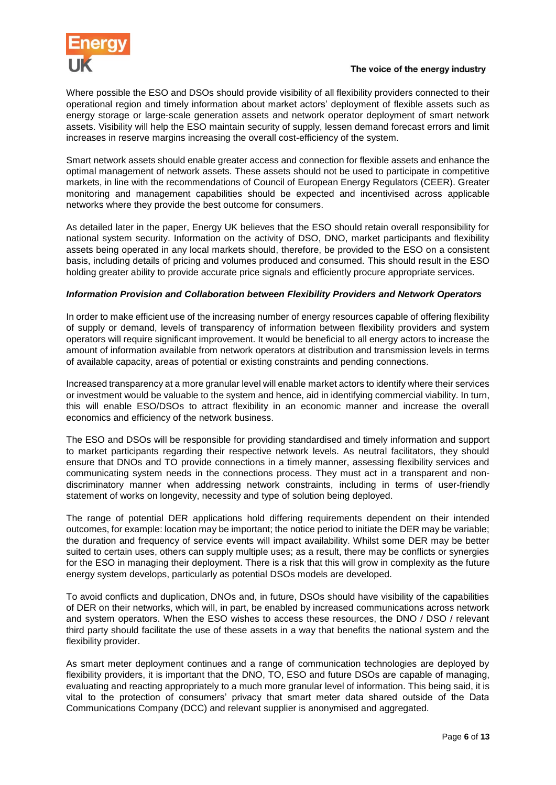

Where possible the ESO and DSOs should provide visibility of all flexibility providers connected to their operational region and timely information about market actors' deployment of flexible assets such as energy storage or large-scale generation assets and network operator deployment of smart network assets. Visibility will help the ESO maintain security of supply, lessen demand forecast errors and limit increases in reserve margins increasing the overall cost-efficiency of the system.

Smart network assets should enable greater access and connection for flexible assets and enhance the optimal management of network assets. These assets should not be used to participate in competitive markets, in line with the recommendations of Council of European Energy Regulators (CEER). Greater monitoring and management capabilities should be expected and incentivised across applicable networks where they provide the best outcome for consumers.

As detailed later in the paper, Energy UK believes that the ESO should retain overall responsibility for national system security. Information on the activity of DSO, DNO, market participants and flexibility assets being operated in any local markets should, therefore, be provided to the ESO on a consistent basis, including details of pricing and volumes produced and consumed. This should result in the ESO holding greater ability to provide accurate price signals and efficiently procure appropriate services.

#### *Information Provision and Collaboration between Flexibility Providers and Network Operators*

In order to make efficient use of the increasing number of energy resources capable of offering flexibility of supply or demand, levels of transparency of information between flexibility providers and system operators will require significant improvement. It would be beneficial to all energy actors to increase the amount of information available from network operators at distribution and transmission levels in terms of available capacity, areas of potential or existing constraints and pending connections.

Increased transparency at a more granular level will enable market actors to identify where their services or investment would be valuable to the system and hence, aid in identifying commercial viability. In turn, this will enable ESO/DSOs to attract flexibility in an economic manner and increase the overall economics and efficiency of the network business.

The ESO and DSOs will be responsible for providing standardised and timely information and support to market participants regarding their respective network levels. As neutral facilitators, they should ensure that DNOs and TO provide connections in a timely manner, assessing flexibility services and communicating system needs in the connections process. They must act in a transparent and nondiscriminatory manner when addressing network constraints, including in terms of user-friendly statement of works on longevity, necessity and type of solution being deployed.

The range of potential DER applications hold differing requirements dependent on their intended outcomes, for example: location may be important; the notice period to initiate the DER may be variable; the duration and frequency of service events will impact availability. Whilst some DER may be better suited to certain uses, others can supply multiple uses; as a result, there may be conflicts or synergies for the ESO in managing their deployment. There is a risk that this will grow in complexity as the future energy system develops, particularly as potential DSOs models are developed.

To avoid conflicts and duplication, DNOs and, in future, DSOs should have visibility of the capabilities of DER on their networks, which will, in part, be enabled by increased communications across network and system operators. When the ESO wishes to access these resources, the DNO / DSO / relevant third party should facilitate the use of these assets in a way that benefits the national system and the flexibility provider.

As smart meter deployment continues and a range of communication technologies are deployed by flexibility providers, it is important that the DNO, TO, ESO and future DSOs are capable of managing, evaluating and reacting appropriately to a much more granular level of information. This being said, it is vital to the protection of consumers' privacy that smart meter data shared outside of the Data Communications Company (DCC) and relevant supplier is anonymised and aggregated.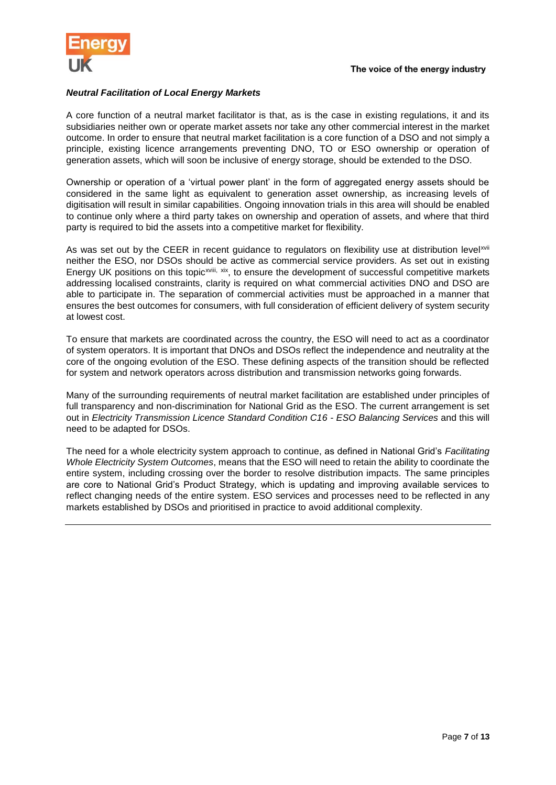

#### *Neutral Facilitation of Local Energy Markets*

A core function of a neutral market facilitator is that, as is the case in existing regulations, it and its subsidiaries neither own or operate market assets nor take any other commercial interest in the market outcome. In order to ensure that neutral market facilitation is a core function of a DSO and not simply a principle, existing licence arrangements preventing DNO, TO or ESO ownership or operation of generation assets, which will soon be inclusive of energy storage, should be extended to the DSO.

Ownership or operation of a 'virtual power plant' in the form of aggregated energy assets should be considered in the same light as equivalent to generation asset ownership, as increasing levels of digitisation will result in similar capabilities. Ongoing innovation trials in this area will should be enabled to continue only where a third party takes on ownership and operation of assets, and where that third party is required to bid the assets into a competitive market for flexibility.

As was set out by the CEER in recent guidance to regulators on flexibility use at distribution levelxvii neither the ESO, nor DSOs should be active as commercial service providers. As set out in existing Energy UK positions on this topic<sup>xviii, xix</sup>, to ensure the development of successful competitive markets addressing localised constraints, clarity is required on what commercial activities DNO and DSO are able to participate in. The separation of commercial activities must be approached in a manner that ensures the best outcomes for consumers, with full consideration of efficient delivery of system security at lowest cost.

To ensure that markets are coordinated across the country, the ESO will need to act as a coordinator of system operators. It is important that DNOs and DSOs reflect the independence and neutrality at the core of the ongoing evolution of the ESO. These defining aspects of the transition should be reflected for system and network operators across distribution and transmission networks going forwards.

Many of the surrounding requirements of neutral market facilitation are established under principles of full transparency and non-discrimination for National Grid as the ESO. The current arrangement is set out in *Electricity Transmission Licence Standard Condition C16 - ESO Balancing Services* and this will need to be adapted for DSOs.

The need for a whole electricity system approach to continue, as defined in National Grid's *Facilitating Whole Electricity System Outcomes*, means that the ESO will need to retain the ability to coordinate the entire system, including crossing over the border to resolve distribution impacts. The same principles are core to National Grid's Product Strategy, which is updating and improving available services to reflect changing needs of the entire system. ESO services and processes need to be reflected in any markets established by DSOs and prioritised in practice to avoid additional complexity.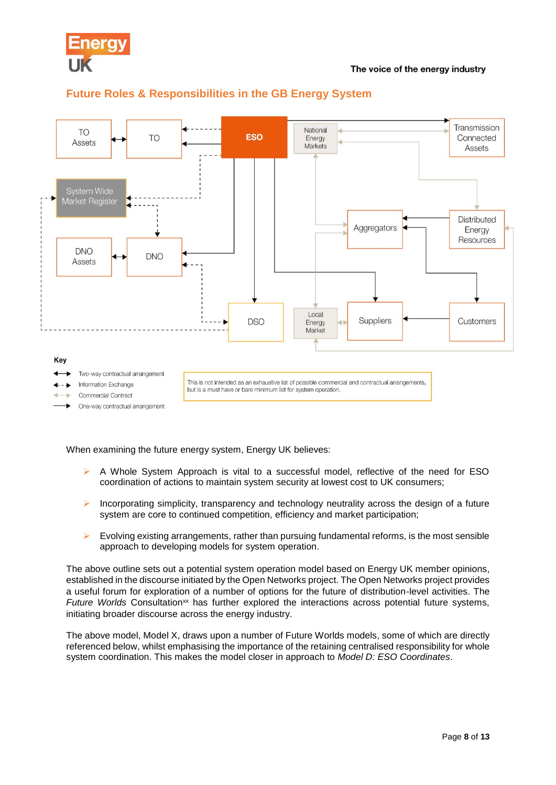



## **Future Roles & Responsibilities in the GB Energy System**

When examining the future energy system, Energy UK believes:

- $\triangleright$  A Whole System Approach is vital to a successful model, reflective of the need for ESO coordination of actions to maintain system security at lowest cost to UK consumers;
- $\triangleright$  Incorporating simplicity, transparency and technology neutrality across the design of a future system are core to continued competition, efficiency and market participation;
- $\triangleright$  Evolving existing arrangements, rather than pursuing fundamental reforms, is the most sensible approach to developing models for system operation.

The above outline sets out a potential system operation model based on Energy UK member opinions, established in the discourse initiated by the Open Networks project. The Open Networks project provides a useful forum for exploration of a number of options for the future of distribution-level activities. The *Future Worlds* Consultation<sup>xx</sup> has further explored the interactions across potential future systems, initiating broader discourse across the energy industry.

The above model, Model X, draws upon a number of Future Worlds models, some of which are directly referenced below, whilst emphasising the importance of the retaining centralised responsibility for whole system coordination. This makes the model closer in approach to *Model D: ESO Coordinates*.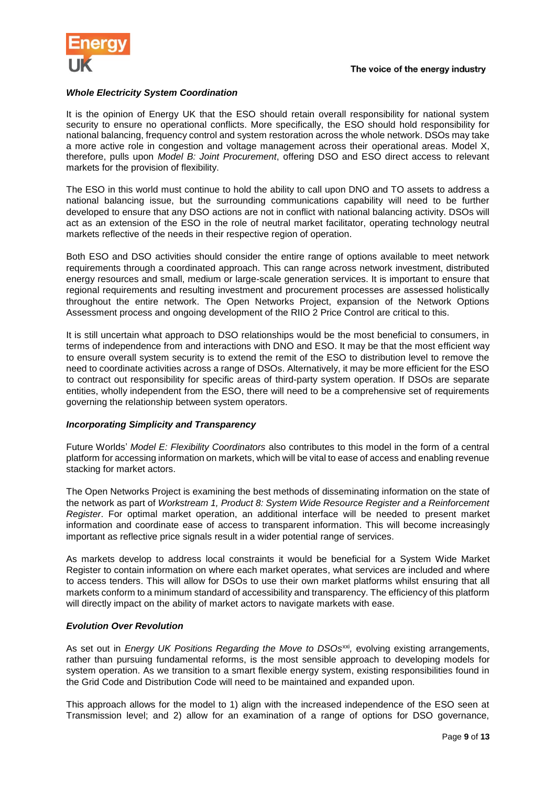

#### *Whole Electricity System Coordination*

It is the opinion of Energy UK that the ESO should retain overall responsibility for national system security to ensure no operational conflicts. More specifically, the ESO should hold responsibility for national balancing, frequency control and system restoration across the whole network. DSOs may take a more active role in congestion and voltage management across their operational areas. Model X, therefore, pulls upon *Model B: Joint Procurement*, offering DSO and ESO direct access to relevant markets for the provision of flexibility.

The ESO in this world must continue to hold the ability to call upon DNO and TO assets to address a national balancing issue, but the surrounding communications capability will need to be further developed to ensure that any DSO actions are not in conflict with national balancing activity. DSOs will act as an extension of the ESO in the role of neutral market facilitator, operating technology neutral markets reflective of the needs in their respective region of operation.

Both ESO and DSO activities should consider the entire range of options available to meet network requirements through a coordinated approach. This can range across network investment, distributed energy resources and small, medium or large-scale generation services. It is important to ensure that regional requirements and resulting investment and procurement processes are assessed holistically throughout the entire network. The Open Networks Project, expansion of the Network Options Assessment process and ongoing development of the RIIO 2 Price Control are critical to this.

It is still uncertain what approach to DSO relationships would be the most beneficial to consumers, in terms of independence from and interactions with DNO and ESO. It may be that the most efficient way to ensure overall system security is to extend the remit of the ESO to distribution level to remove the need to coordinate activities across a range of DSOs. Alternatively, it may be more efficient for the ESO to contract out responsibility for specific areas of third-party system operation. If DSOs are separate entities, wholly independent from the ESO, there will need to be a comprehensive set of requirements governing the relationship between system operators.

#### *Incorporating Simplicity and Transparency*

Future Worlds' *Model E: Flexibility Coordinators* also contributes to this model in the form of a central platform for accessing information on markets, which will be vital to ease of access and enabling revenue stacking for market actors.

The Open Networks Project is examining the best methods of disseminating information on the state of the network as part of *Workstream 1, Product 8: System Wide Resource Register and a Reinforcement Register*. For optimal market operation, an additional interface will be needed to present market information and coordinate ease of access to transparent information. This will become increasingly important as reflective price signals result in a wider potential range of services.

As markets develop to address local constraints it would be beneficial for a System Wide Market Register to contain information on where each market operates, what services are included and where to access tenders. This will allow for DSOs to use their own market platforms whilst ensuring that all markets conform to a minimum standard of accessibility and transparency. The efficiency of this platform will directly impact on the ability of market actors to navigate markets with ease.

#### *Evolution Over Revolution*

As set out in *Energy UK Positions Regarding the Move to DSOs<sup>xxi</sup>, evolving existing arrangements,* rather than pursuing fundamental reforms, is the most sensible approach to developing models for system operation. As we transition to a smart flexible energy system, existing responsibilities found in the Grid Code and Distribution Code will need to be maintained and expanded upon.

This approach allows for the model to 1) align with the increased independence of the ESO seen at Transmission level; and 2) allow for an examination of a range of options for DSO governance,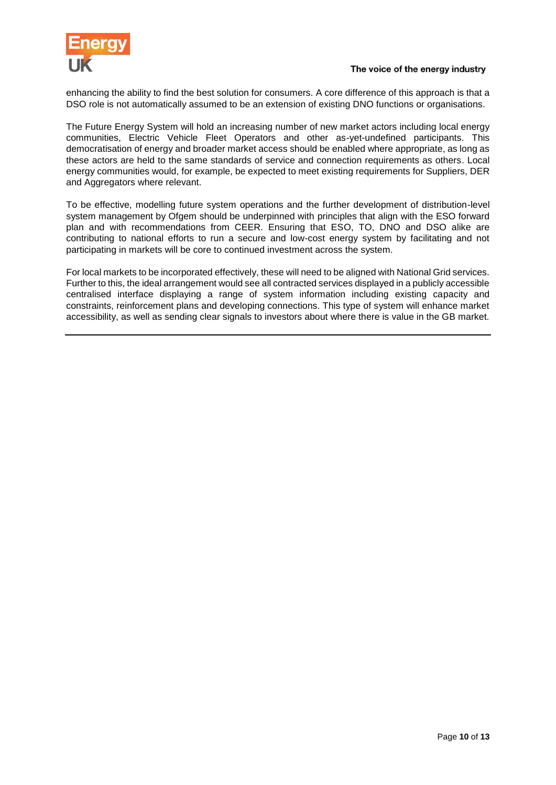

enhancing the ability to find the best solution for consumers. A core difference of this approach is that a DSO role is not automatically assumed to be an extension of existing DNO functions or organisations.

The Future Energy System will hold an increasing number of new market actors including local energy communities, Electric Vehicle Fleet Operators and other as-yet-undefined participants. This democratisation of energy and broader market access should be enabled where appropriate, as long as these actors are held to the same standards of service and connection requirements as others. Local energy communities would, for example, be expected to meet existing requirements for Suppliers, DER and Aggregators where relevant.

To be effective, modelling future system operations and the further development of distribution-level system management by Ofgem should be underpinned with principles that align with the ESO forward plan and with recommendations from CEER. Ensuring that ESO, TO, DNO and DSO alike are contributing to national efforts to run a secure and low-cost energy system by facilitating and not participating in markets will be core to continued investment across the system.

For local markets to be incorporated effectively, these will need to be aligned with National Grid services. Further to this, the ideal arrangement would see all contracted services displayed in a publicly accessible centralised interface displaying a range of system information including existing capacity and constraints, reinforcement plans and developing connections. This type of system will enhance market accessibility, as well as sending clear signals to investors about where there is value in the GB market.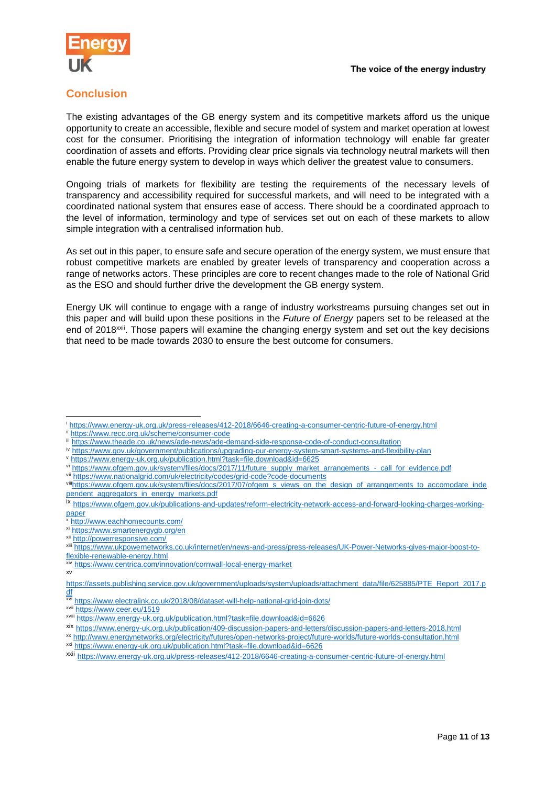

## **Conclusion**

The existing advantages of the GB energy system and its competitive markets afford us the unique opportunity to create an accessible, flexible and secure model of system and market operation at lowest cost for the consumer. Prioritising the integration of information technology will enable far greater coordination of assets and efforts. Providing clear price signals via technology neutral markets will then enable the future energy system to develop in ways which deliver the greatest value to consumers.

Ongoing trials of markets for flexibility are testing the requirements of the necessary levels of transparency and accessibility required for successful markets, and will need to be integrated with a coordinated national system that ensures ease of access. There should be a coordinated approach to the level of information, terminology and type of services set out on each of these markets to allow simple integration with a centralised information hub.

As set out in this paper, to ensure safe and secure operation of the energy system, we must ensure that robust competitive markets are enabled by greater levels of transparency and cooperation across a range of networks actors. These principles are core to recent changes made to the role of National Grid as the ESO and should further drive the development the GB energy system.

Energy UK will continue to engage with a range of industry workstreams pursuing changes set out in this paper and will build upon these positions in the *Future of Energy* papers set to be released at the end of 2018xxii. Those papers will examine the changing energy system and set out the key decisions that need to be made towards 2030 to ensure the best outcome for consumers.

- iv <https://www.gov.uk/government/publications/upgrading-our-energy-system-smart-systems-and-flexibility-plan>
- <sup>v</sup> <https://www.energy-uk.org.uk/publication.html?task=file.download&id=6625>
- vi [https://www.ofgem.gov.uk/system/files/docs/2017/11/future\\_supply\\_market\\_arrangements\\_-\\_call\\_for\\_evidence.pdf](https://www.ofgem.gov.uk/system/files/docs/2017/11/future_supply_market_arrangements_-_call_for_evidence.pdf)
- vii <https://www.nationalgrid.com/uk/electricity/codes/grid-code?code-documents>

- xi <https://www.smartenergygb.org/en>
- xii <http://powerresponsive.com/>

l

xxi <https://www.energy-uk.org.uk/publication.html?task=file.download&id=6626>

<https://www.energy-uk.org.uk/press-releases/412-2018/6646-creating-a-consumer-centric-future-of-energy.html> <https://www.recc.org.uk/scheme/consumer-code>

iii <https://www.theade.co.uk/news/ade-news/ade-demand-side-response-code-of-conduct-consultation>

viii[https://www.ofgem.gov.uk/system/files/docs/2017/07/ofgem\\_s\\_views\\_on\\_the\\_design\\_of\\_arrangements\\_to\\_accomodate\\_inde](https://www.ofgem.gov.uk/system/files/docs/2017/07/ofgem_s_views_on_the_design_of_arrangements_to_accomodate_independent_aggregators_in_energy_markets.pdf) [pendent\\_aggregators\\_in\\_energy\\_markets.pdf](https://www.ofgem.gov.uk/system/files/docs/2017/07/ofgem_s_views_on_the_design_of_arrangements_to_accomodate_independent_aggregators_in_energy_markets.pdf)

ix [https://www.ofgem.gov.uk/publications-and-updates/reform-electricity-network-access-and-forward-looking-charges-working](https://www.ofgem.gov.uk/publications-and-updates/reform-electricity-network-access-and-forward-looking-charges-working-paper)[paper](https://www.ofgem.gov.uk/publications-and-updates/reform-electricity-network-access-and-forward-looking-charges-working-paper)

<sup>x</sup> <http://www.eachhomecounts.com/>

xiii [https://www.ukpowernetworks.co.uk/internet/en/news-and-press/press-releases/UK-Power-Networks-gives-major-boost-to](https://www.ukpowernetworks.co.uk/internet/en/news-and-press/press-releases/UK-Power-Networks-gives-major-boost-to-flexible-renewable-energy.html)[flexible-renewable-energy.html](https://www.ukpowernetworks.co.uk/internet/en/news-and-press/press-releases/UK-Power-Networks-gives-major-boost-to-flexible-renewable-energy.html)

xiv <https://www.centrica.com/innovation/cornwall-local-energy-market>

xv

[https://assets.publishing.service.gov.uk/government/uploads/system/uploads/attachment\\_data/file/625885/PTE\\_Report\\_2017.p](https://assets.publishing.service.gov.uk/government/uploads/system/uploads/attachment_data/file/625885/PTE_Report_2017.pdf) <u>[df](https://assets.publishing.service.gov.uk/government/uploads/system/uploads/attachment_data/file/625885/PTE_Report_2017.pdf)</u>

xvi <https://www.electralink.co.uk/2018/08/dataset-will-help-national-grid-join-dots/>

xvii <https://www.ceer.eu/1519>

xviii <https://www.energy-uk.org.uk/publication.html?task=file.download&id=6626>

xix <https://www.energy-uk.org.uk/publication/409-discussion-papers-and-letters/discussion-papers-and-letters-2018.html>

xx <http://www.energynetworks.org/electricity/futures/open-networks-project/future-worlds/future-worlds-consultation.html>

xxii <https://www.energy-uk.org.uk/press-releases/412-2018/6646-creating-a-consumer-centric-future-of-energy.html>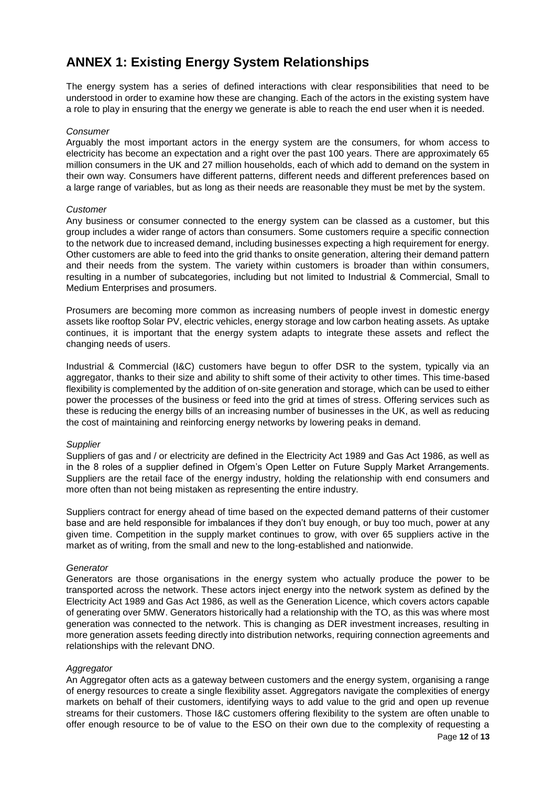## **ANNEX 1: Existing Energy System Relationships**

The energy system has a series of defined interactions with clear responsibilities that need to be understood in order to examine how these are changing. Each of the actors in the existing system have a role to play in ensuring that the energy we generate is able to reach the end user when it is needed.

#### *Consumer*

Arguably the most important actors in the energy system are the consumers, for whom access to electricity has become an expectation and a right over the past 100 years. There are approximately 65 million consumers in the UK and 27 million households, each of which add to demand on the system in their own way. Consumers have different patterns, different needs and different preferences based on a large range of variables, but as long as their needs are reasonable they must be met by the system.

#### *Customer*

Any business or consumer connected to the energy system can be classed as a customer, but this group includes a wider range of actors than consumers. Some customers require a specific connection to the network due to increased demand, including businesses expecting a high requirement for energy. Other customers are able to feed into the grid thanks to onsite generation, altering their demand pattern and their needs from the system. The variety within customers is broader than within consumers, resulting in a number of subcategories, including but not limited to Industrial & Commercial, Small to Medium Enterprises and prosumers.

Prosumers are becoming more common as increasing numbers of people invest in domestic energy assets like rooftop Solar PV, electric vehicles, energy storage and low carbon heating assets. As uptake continues, it is important that the energy system adapts to integrate these assets and reflect the changing needs of users.

Industrial & Commercial (I&C) customers have begun to offer DSR to the system, typically via an aggregator, thanks to their size and ability to shift some of their activity to other times. This time-based flexibility is complemented by the addition of on-site generation and storage, which can be used to either power the processes of the business or feed into the grid at times of stress. Offering services such as these is reducing the energy bills of an increasing number of businesses in the UK, as well as reducing the cost of maintaining and reinforcing energy networks by lowering peaks in demand.

#### *Supplier*

Suppliers of gas and / or electricity are defined in the Electricity Act 1989 and Gas Act 1986, as well as in the 8 roles of a supplier defined in Ofgem's Open Letter on Future Supply Market Arrangements. Suppliers are the retail face of the energy industry, holding the relationship with end consumers and more often than not being mistaken as representing the entire industry.

Suppliers contract for energy ahead of time based on the expected demand patterns of their customer base and are held responsible for imbalances if they don't buy enough, or buy too much, power at any given time. Competition in the supply market continues to grow, with over 65 suppliers active in the market as of writing, from the small and new to the long-established and nationwide.

#### *Generator*

Generators are those organisations in the energy system who actually produce the power to be transported across the network. These actors inject energy into the network system as defined by the Electricity Act 1989 and Gas Act 1986, as well as the Generation Licence, which covers actors capable of generating over 5MW. Generators historically had a relationship with the TO, as this was where most generation was connected to the network. This is changing as DER investment increases, resulting in more generation assets feeding directly into distribution networks, requiring connection agreements and relationships with the relevant DNO.

#### *Aggregator*

An Aggregator often acts as a gateway between customers and the energy system, organising a range of energy resources to create a single flexibility asset. Aggregators navigate the complexities of energy markets on behalf of their customers, identifying ways to add value to the grid and open up revenue streams for their customers. Those I&C customers offering flexibility to the system are often unable to offer enough resource to be of value to the ESO on their own due to the complexity of requesting a